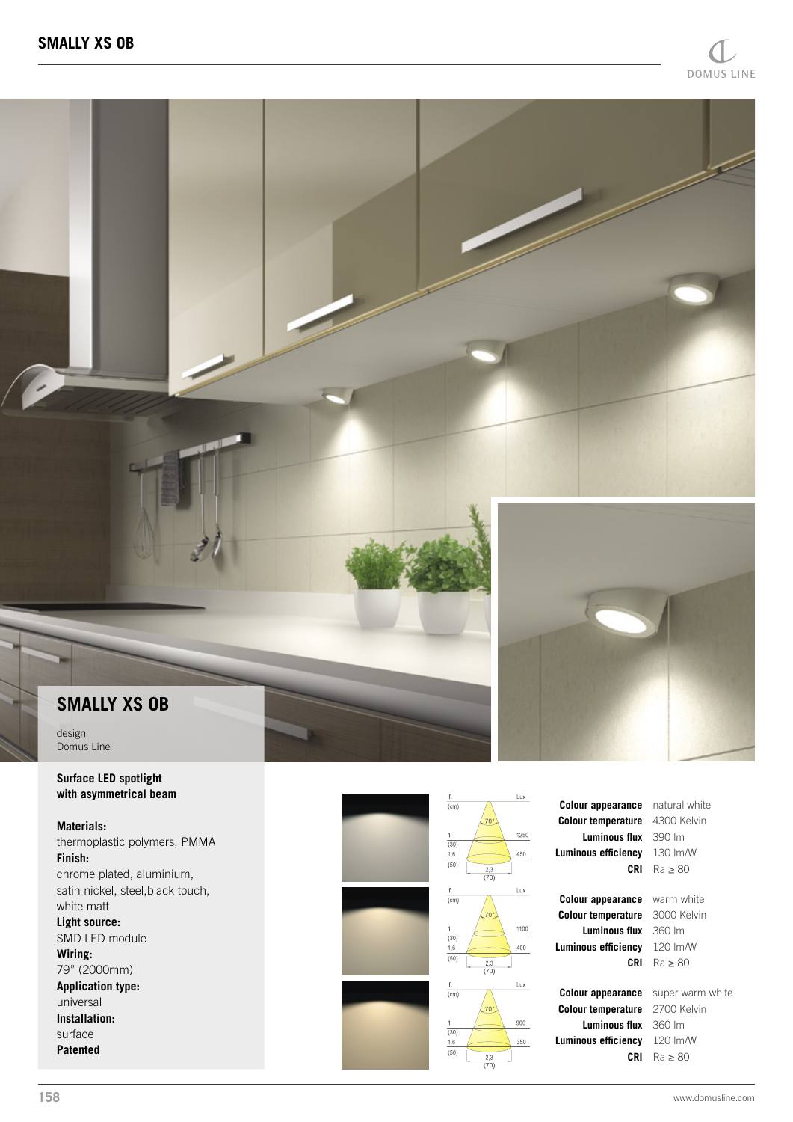## **SMALLY XS OB**

design Domus Line

**Surface LED spotlight with asymmetrical beam**

## **Materials:** thermoplastic polymers, PMMA **Finish:** chrome plated, aluminium, satin nickel, steel,black touch, white matt

**Light source:** SMD LED module **Wiring:** 79" (2000mm) **Application type:** universal **Installation:** surface

**Patented**





**Colour temperature** 3000 Kelvin **Luminous flux** 360 lm **Luminous efficiency** 120 lm/W

**Colour appearance** super warm white **Colour temperature** 2700 Kelvin **Luminous flux** 360 lm **Luminous efficiency** 120 lm/W

## **CRI** Ra ≥ 80

**Colour appearance** warm white **CRI** Ra ≥ 80

**CRI** Ra ≥ 80